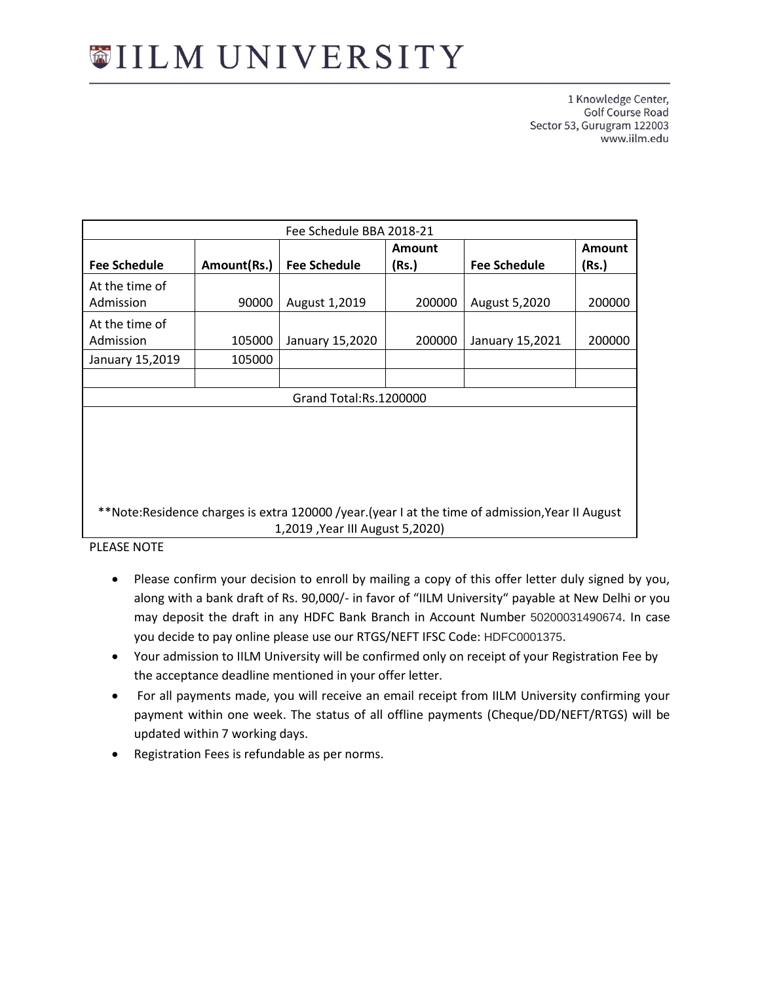1 Knowledge Center, **Golf Course Road** Sector 53, Gurugram 122003 www.iilm.edu

| Fee Schedule BBA 2018-21                                                                       |             |                     |        |                     |               |  |  |
|------------------------------------------------------------------------------------------------|-------------|---------------------|--------|---------------------|---------------|--|--|
|                                                                                                |             |                     | Amount |                     | <b>Amount</b> |  |  |
| <b>Fee Schedule</b>                                                                            | Amount(Rs.) | <b>Fee Schedule</b> | (Rs.)  | <b>Fee Schedule</b> | (Rs.)         |  |  |
| At the time of                                                                                 |             |                     |        |                     |               |  |  |
| Admission                                                                                      | 90000       | August 1,2019       | 200000 | August 5,2020       | 200000        |  |  |
| At the time of                                                                                 |             |                     |        |                     |               |  |  |
| Admission                                                                                      | 105000      | January 15,2020     | 200000 | January 15,2021     | 200000        |  |  |
| January 15,2019                                                                                | 105000      |                     |        |                     |               |  |  |
|                                                                                                |             |                     |        |                     |               |  |  |
| Grand Total:Rs.1200000                                                                         |             |                     |        |                     |               |  |  |
|                                                                                                |             |                     |        |                     |               |  |  |
|                                                                                                |             |                     |        |                     |               |  |  |
|                                                                                                |             |                     |        |                     |               |  |  |
|                                                                                                |             |                     |        |                     |               |  |  |
|                                                                                                |             |                     |        |                     |               |  |  |
| **Note:Residence charges is extra 120000 /year.(year I at the time of admission,Year II August |             |                     |        |                     |               |  |  |
| 1,2019, Year III August 5,2020)                                                                |             |                     |        |                     |               |  |  |

- Please confirm your decision to enroll by mailing a copy of this offer letter duly signed by you, along with a bank draft of Rs. 90,000/- in favor of "IILM University" payable at New Delhi or you may deposit the draft in any HDFC Bank Branch in Account Number 50200031490674. In case you decide to pay online please use our RTGS/NEFT IFSC Code: HDFC0001375.
- Your admission to IILM University will be confirmed only on receipt of your Registration Fee by the acceptance deadline mentioned in your offer letter.
- For all payments made, you will receive an email receipt from IILM University confirming your payment within one week. The status of all offline payments (Cheque/DD/NEFT/RTGS) will be updated within 7 working days.
- Registration Fees is refundable as per norms.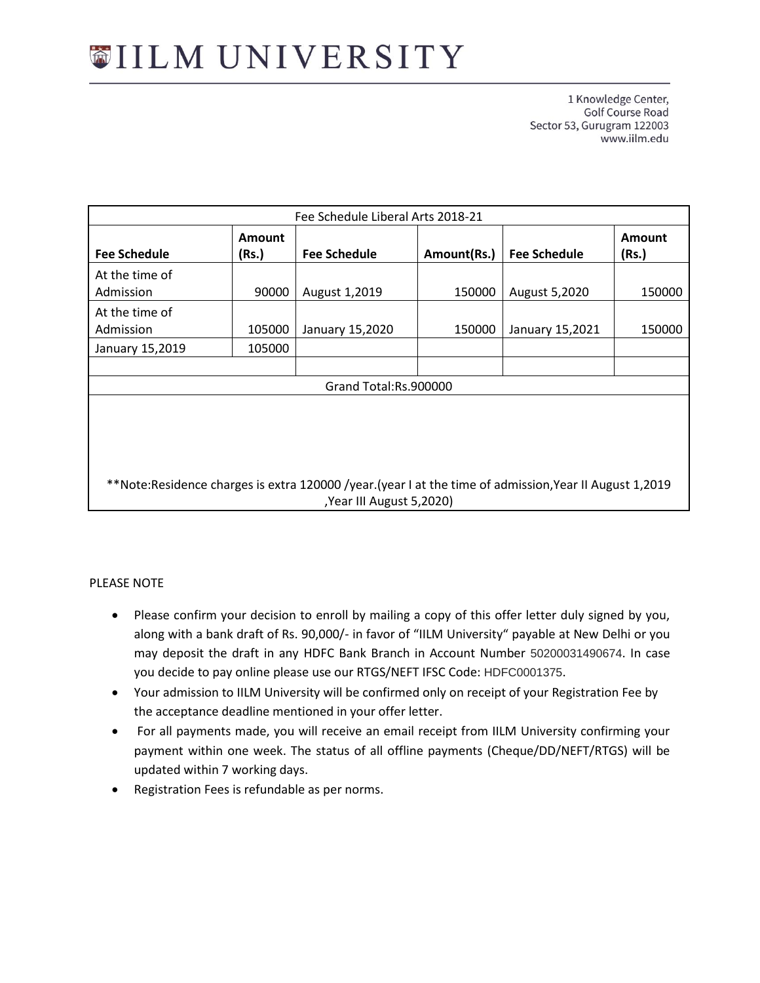1 Knowledge Center, **Golf Course Road** Sector 53, Gurugram 122003 www.iilm.edu

| Fee Schedule Liberal Arts 2018-21 |                        |                                                                                                        |             |                     |                 |  |
|-----------------------------------|------------------------|--------------------------------------------------------------------------------------------------------|-------------|---------------------|-----------------|--|
| <b>Fee Schedule</b>               | <b>Amount</b><br>(Rs.) | <b>Fee Schedule</b>                                                                                    | Amount(Rs.) | <b>Fee Schedule</b> | Amount<br>(Rs.) |  |
| At the time of<br>Admission       | 90000                  | August 1,2019                                                                                          | 150000      | August 5,2020       | 150000          |  |
| At the time of<br>Admission       | 105000                 | January 15,2020                                                                                        | 150000      | January 15,2021     | 150000          |  |
| January 15,2019                   | 105000                 |                                                                                                        |             |                     |                 |  |
|                                   |                        |                                                                                                        |             |                     |                 |  |
|                                   |                        | Grand Total:Rs.900000                                                                                  |             |                     |                 |  |
|                                   |                        | **Note:Residence charges is extra 120000 /year.(year I at the time of admission, Year II August 1,2019 |             |                     |                 |  |
|                                   |                        | , Year III August 5, 2020)                                                                             |             |                     |                 |  |

- Please confirm your decision to enroll by mailing a copy of this offer letter duly signed by you, along with a bank draft of Rs. 90,000/- in favor of "IILM University" payable at New Delhi or you may deposit the draft in any HDFC Bank Branch in Account Number 50200031490674. In case you decide to pay online please use our RTGS/NEFT IFSC Code: HDFC0001375.
- Your admission to IILM University will be confirmed only on receipt of your Registration Fee by the acceptance deadline mentioned in your offer letter.
- For all payments made, you will receive an email receipt from IILM University confirming your payment within one week. The status of all offline payments (Cheque/DD/NEFT/RTGS) will be updated within 7 working days.
- Registration Fees is refundable as per norms.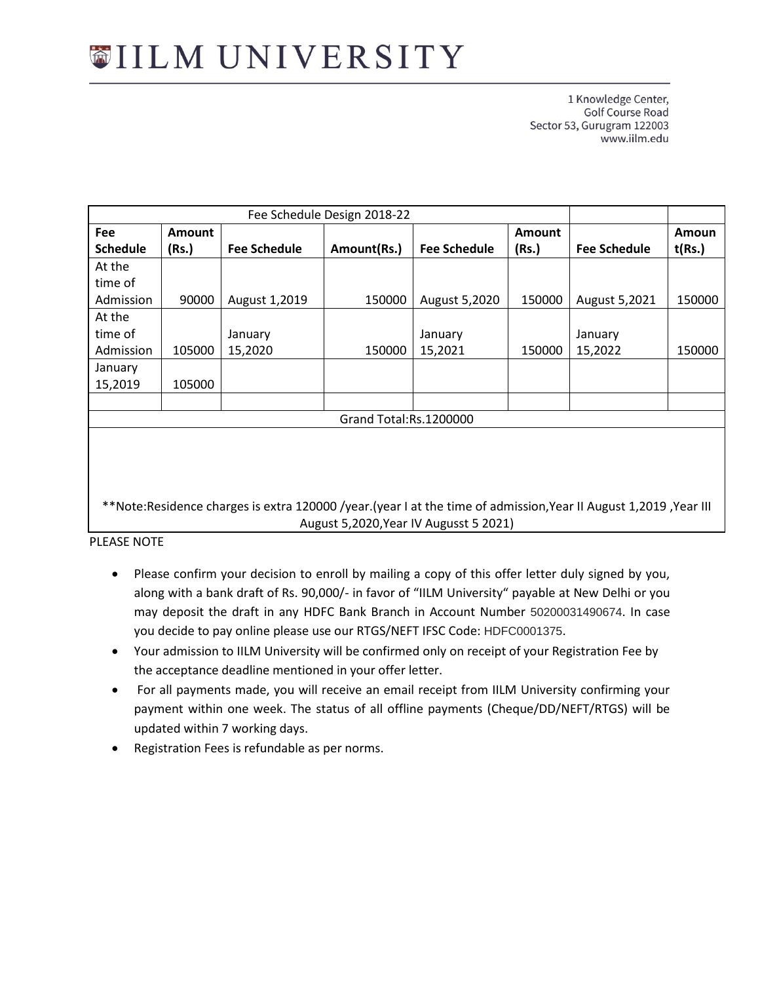1 Knowledge Center, **Golf Course Road** Sector 53, Gurugram 122003 www.iilm.edu

| <b>Fee</b>                                                                                                     | <b>Amount</b> |                     |                        |                     | Amount |                     | Amoun  |
|----------------------------------------------------------------------------------------------------------------|---------------|---------------------|------------------------|---------------------|--------|---------------------|--------|
| <b>Schedule</b>                                                                                                | (Rs.)         | <b>Fee Schedule</b> | Amount(Rs.)            | <b>Fee Schedule</b> | (Rs.)  | <b>Fee Schedule</b> | t(Rs.) |
| At the                                                                                                         |               |                     |                        |                     |        |                     |        |
| time of                                                                                                        |               |                     |                        |                     |        |                     |        |
| Admission                                                                                                      | 90000         | August 1,2019       | 150000                 | August 5,2020       | 150000 | August 5,2021       | 150000 |
| At the                                                                                                         |               |                     |                        |                     |        |                     |        |
| time of                                                                                                        |               | January             |                        | January             |        | January             |        |
| Admission                                                                                                      | 105000        | 15,2020             | 150000                 | 15,2021             | 150000 | 15,2022             | 150000 |
| January                                                                                                        |               |                     |                        |                     |        |                     |        |
| 15,2019                                                                                                        | 105000        |                     |                        |                     |        |                     |        |
|                                                                                                                |               |                     |                        |                     |        |                     |        |
|                                                                                                                |               |                     | Grand Total:Rs.1200000 |                     |        |                     |        |
|                                                                                                                |               |                     |                        |                     |        |                     |        |
|                                                                                                                |               |                     |                        |                     |        |                     |        |
|                                                                                                                |               |                     |                        |                     |        |                     |        |
|                                                                                                                |               |                     |                        |                     |        |                     |        |
| ·Note:Residence charges is extra 120000 /year.(year I at the time of admission,Year II August 1,2019, Year III |               |                     |                        |                     |        |                     |        |
| August 5,2020, Year IV Augusst 5 2021)                                                                         |               |                     |                        |                     |        |                     |        |

- Please confirm your decision to enroll by mailing a copy of this offer letter duly signed by you, along with a bank draft of Rs. 90,000/- in favor of "IILM University" payable at New Delhi or you may deposit the draft in any HDFC Bank Branch in Account Number 50200031490674. In case you decide to pay online please use our RTGS/NEFT IFSC Code: HDFC0001375.
- Your admission to IILM University will be confirmed only on receipt of your Registration Fee by the acceptance deadline mentioned in your offer letter.
- For all payments made, you will receive an email receipt from IILM University confirming your payment within one week. The status of all offline payments (Cheque/DD/NEFT/RTGS) will be updated within 7 working days.
- Registration Fees is refundable as per norms.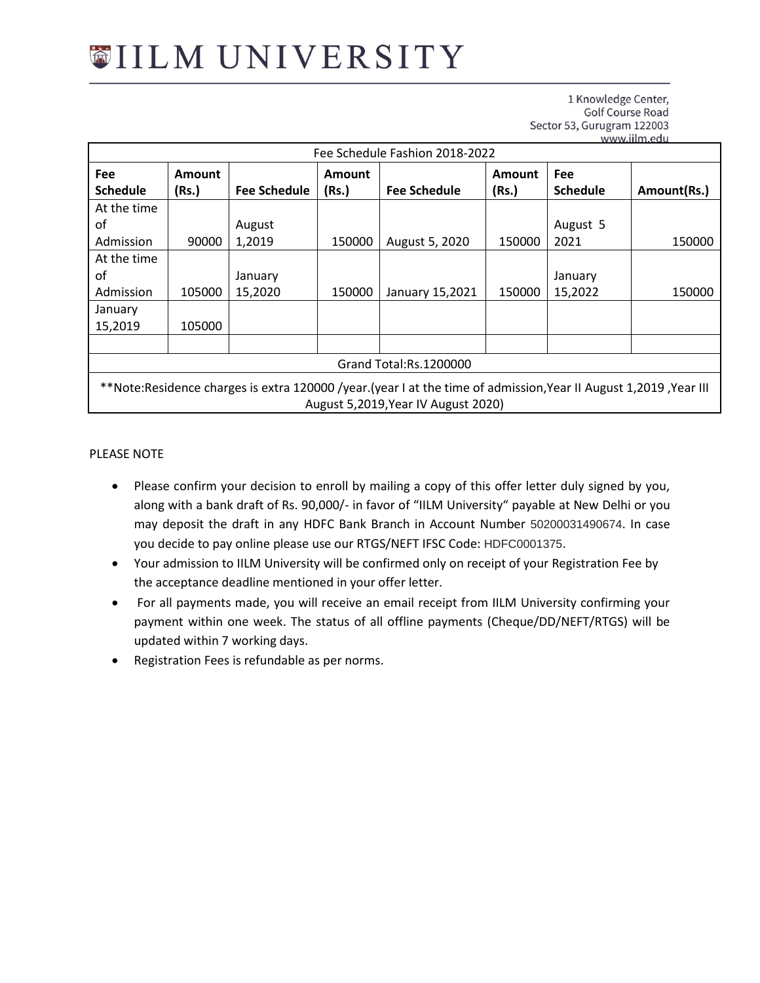#### 1 Knowledge Center, **Golf Course Road** Sector 53, Gurugram 122003 www.iilm.edu

| Fee Schedule Fashion 2018-2022                                                                                                                          |                        |                     |                        |                     |                        |                        |             |
|---------------------------------------------------------------------------------------------------------------------------------------------------------|------------------------|---------------------|------------------------|---------------------|------------------------|------------------------|-------------|
| Fee<br><b>Schedule</b>                                                                                                                                  | <b>Amount</b><br>(Rs.) | <b>Fee Schedule</b> | <b>Amount</b><br>(Rs.) | <b>Fee Schedule</b> | <b>Amount</b><br>(Rs.) | Fee<br><b>Schedule</b> | Amount(Rs.) |
| At the time                                                                                                                                             |                        |                     |                        |                     |                        |                        |             |
| οf                                                                                                                                                      |                        | August              |                        |                     |                        | August 5               |             |
| Admission                                                                                                                                               | 90000                  | 1,2019              | 150000                 | August 5, 2020      | 150000                 | 2021                   | 150000      |
| At the time                                                                                                                                             |                        |                     |                        |                     |                        |                        |             |
| οf                                                                                                                                                      |                        | January             |                        |                     |                        | January                |             |
| Admission                                                                                                                                               | 105000                 | 15,2020             | 150000                 | January 15,2021     | 150000                 | 15,2022                | 150000      |
| January                                                                                                                                                 |                        |                     |                        |                     |                        |                        |             |
| 15,2019                                                                                                                                                 | 105000                 |                     |                        |                     |                        |                        |             |
|                                                                                                                                                         |                        |                     |                        |                     |                        |                        |             |
| Grand Total:Rs.1200000                                                                                                                                  |                        |                     |                        |                     |                        |                        |             |
| **Note:Residence charges is extra 120000 /year.(year I at the time of admission, Year II August 1,2019, Year III<br>August 5,2019, Year IV August 2020) |                        |                     |                        |                     |                        |                        |             |

- Please confirm your decision to enroll by mailing a copy of this offer letter duly signed by you, along with a bank draft of Rs. 90,000/- in favor of "IILM University" payable at New Delhi or you may deposit the draft in any HDFC Bank Branch in Account Number 50200031490674. In case you decide to pay online please use our RTGS/NEFT IFSC Code: HDFC0001375.
- Your admission to IILM University will be confirmed only on receipt of your Registration Fee by the acceptance deadline mentioned in your offer letter.
- For all payments made, you will receive an email receipt from IILM University confirming your payment within one week. The status of all offline payments (Cheque/DD/NEFT/RTGS) will be updated within 7 working days.
- Registration Fees is refundable as per norms.